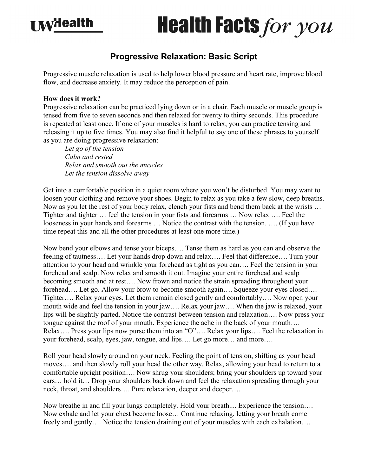## **I MYHealth**

## **Health Facts for you**

## **Progressive Relaxation: Basic Script**

Progressive muscle relaxation is used to help lower blood pressure and heart rate, improve blood flow, and decrease anxiety. It may reduce the perception of pain.

## **How does it work?**

Progressive relaxation can be practiced lying down or in a chair. Each muscle or muscle group is tensed from five to seven seconds and then relaxed for twenty to thirty seconds. This procedure is repeated at least once. If one of your muscles is hard to relax, you can practice tensing and releasing it up to five times. You may also find it helpful to say one of these phrases to yourself as you are doing progressive relaxation:

*Let go of the tension Calm and rested Relax and smooth out the muscles Let the tension dissolve away*

Get into a comfortable position in a quiet room where you won't be disturbed. You may want to loosen your clothing and remove your shoes. Begin to relax as you take a few slow, deep breaths. Now as you let the rest of your body relax, clench your fists and bend them back at the wrists … Tighter and tighter … feel the tension in your fists and forearms … Now relax …. Feel the looseness in your hands and forearms … Notice the contrast with the tension. …. (If you have time repeat this and all the other procedures at least one more time.)

Now bend your elbows and tense your biceps…. Tense them as hard as you can and observe the feeling of tautness…. Let your hands drop down and relax…. Feel that difference…. Turn your attention to your head and wrinkle your forehead as tight as you can…. Feel the tension in your forehead and scalp. Now relax and smooth it out. Imagine your entire forehead and scalp becoming smooth and at rest…. Now frown and notice the strain spreading throughout your forehead.... Let go. Allow your brow to become smooth again.... Squeeze your eyes closed.... Tighter…. Relax your eyes. Let them remain closed gently and comfortably…. Now open your mouth wide and feel the tension in your jaw…. Relax your jaw…. When the jaw is relaxed, your lips will be slightly parted. Notice the contrast between tension and relaxation…. Now press your tongue against the roof of your mouth. Experience the ache in the back of your mouth…. Relax…. Press your lips now purse them into an "O"…. Relax your lips…. Feel the relaxation in your forehead, scalp, eyes, jaw, tongue, and lips…. Let go more… and more….

Roll your head slowly around on your neck. Feeling the point of tension, shifting as your head moves…. and then slowly roll your head the other way. Relax, allowing your head to return to a comfortable upright position…. Now shrug your shoulders; bring your shoulders up toward your ears… hold it… Drop your shoulders back down and feel the relaxation spreading through your neck, throat, and shoulders…. Pure relaxation, deeper and deeper….

Now breathe in and fill your lungs completely. Hold your breath.... Experience the tension…. Now exhale and let your chest become loose… Continue relaxing, letting your breath come freely and gently…. Notice the tension draining out of your muscles with each exhalation….